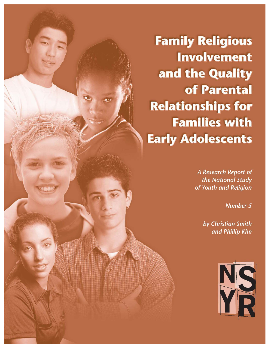**Family Religious Involvement** and the Quality of Parental **Relationships for Families with Early Adolescents** 

> A Research Report of the National Study of Youth and Religion

> > **Number 5**

by Christian Smith and Phillip Kim

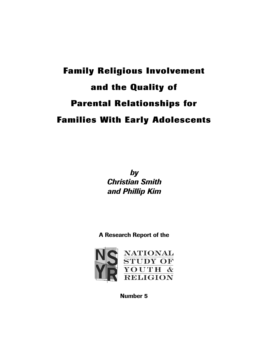# **Family Religious Involvement and the Quality of Parental Relationships for Families With Early Adolescents**

*by Christian Smith and Phillip Kim*

**A Research Report of the**



**Number 5**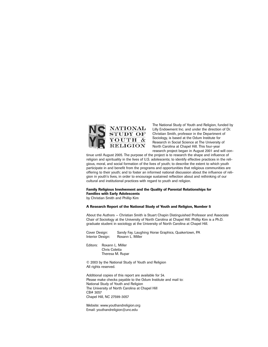

The National Study of Youth and Religion, funded by Lilly Endowment Inc. and under the direction of Dr. Christian Smith, professor in the Department of Sociology, is based at the Odum Institute for Research in Social Science at The University of North Carolina at Chapel Hill. This four-year research project began in August 2001 and will con-

tinue until August 2005. The purpose of the project is to research the shape and influence of religion and spirituality in the lives of U.S. adolescents; to identify effective practices in the religious, moral, and social formation of the lives of youth; to describe the extent to which youth participate in and benefit from the programs and opportunities that religious communities are offering to their youth; and to foster an informed national discussion about the influence of religion in youth's lives, in order to encourage sustained reflection about and rethinking of our cultural and institutional practices with regard to youth and religion.

#### **Family Religious Involvement and the Quality of Parental Relationships for Families with Early Adolescents**

by Christian Smith and Phillip Kim

#### **A Research Report of the National Study of Youth and Religion, Number 5**

About the Authors — Christian Smith is Stuart Chapin Distinguished Professor and Associate Chair of Sociology at the University of North Carolina at Chapel Hill. Phillip Kim is a Ph.D. graduate student in sociology at the University of North Carolina at Chapel Hill.

Cover Design: Sandy Fay, Laughing Horse Graphics, Quakertown, PA Interior Design: Roxann L. Miller

Editors: Roxann L. Miller Chris Coletta Theresa M. Rupar

© 2003 by the National Study of Youth and Religion All rights reserved.

Additional copies of this report are available for \$4. Please make checks payable to the Odum Institute and mail to: National Study of Youth and Religion The University of North Carolina at Chapel Hill CB# 3057 Chapel Hill, NC 27599-3057

Website: www.youthandreligion.org Email: youthandreligion@unc.edu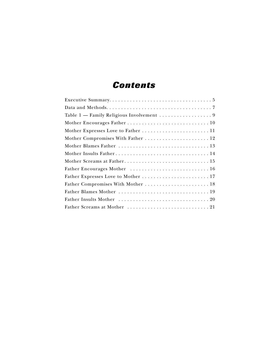### *Contents*

| Mother Compromises With Father  12 |
|------------------------------------|
|                                    |
|                                    |
|                                    |
| Father Encourages Mother  16       |
|                                    |
|                                    |
|                                    |
|                                    |
|                                    |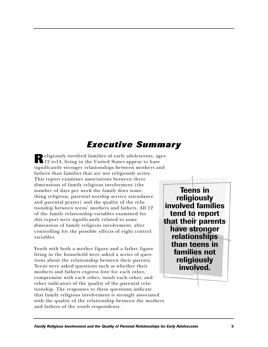## *Executive Summary*

**R**eligiously involved families of early adolescents, ages 12 to14, living in the United States appear to have significantly stronger relationships between mothers and fathers than families that are not religiously active. This report examines associations between three dimensions of family religious involvement (the number of days per week the family does something religious, parental worship service attendance and parental prayer) and the quality of the relationship between teens' mothers and fathers. All 12 of the family relationship variables examined for this report were significantly related to some dimension of family religious involvement, after controlling for the possible effects of eight control variables.

Youth with both a mother figure and a father figure living in the household were asked a series of questions about the relationship between their parents. Teens were asked questions such as whether their mothers and fathers express love for each other, compromise with each other, insult each other, and other indicators of the quality of the parental relationship. The responses to these questions indicate that family religious involvement is strongly associated with the quality of the relationship between the mothers and fathers of the youth respondents.

**Teens in religiously involved families tend to report that their parents have stronger relationships than teens in families not religiously involved.**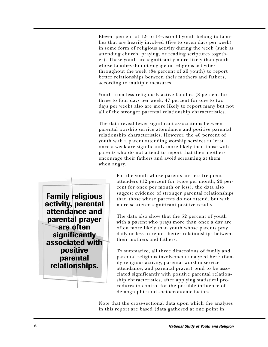Eleven percent of 12- to 14-year-old youth belong to families that are heavily involved (five to seven days per week) in some form of religious activity during the week (such as attending church, praying, or reading scriptures together). These youth are significantly more likely than youth whose families do not engage in religious activities throughout the week (34 percent of all youth) to report better relationships between their mothers and fathers, according to multiple measures.

Youth from less religiously active families (8 percent for three to four days per week; 47 percent for one to two days per week) also are more likely to report many but not all of the stronger parental relationship characteristics.

The data reveal fewer significant associations between parental worship service attendance and positive parental relationship characteristics. However, the 40 percent of youth with a parent attending worship services at least once a week are significantly more likely than those with parents who do not attend to report that their mothers encourage their fathers and avoid screaming at them when angry.

> For the youth whose parents are less frequent attenders (12 percent for twice per month; 20 percent for once per month or less), the data also suggest evidence of stronger parental relationships than those whose parents do not attend, but with more scattered significant positive results.

The data also show that the 52 percent of youth with a parent who prays more than once a day are often more likely than youth whose parents pray daily or less to report better relationships between their mothers and fathers.

To summarize, all three dimensions of family and parental religious involvement analyzed here (family religious activity, parental worship service attendance, and parental prayer) tend to be associated significantly with positive parental relationship characteristics, after applying statistical procedures to control for the possible influence of demographic and socioeconomic factors.

Note that the cross-sectional data upon which the analyses in this report are based (data gathered at one point in

**Family religious activity, parental attendance and parental prayer are often significantly associated with positive parental relationships.**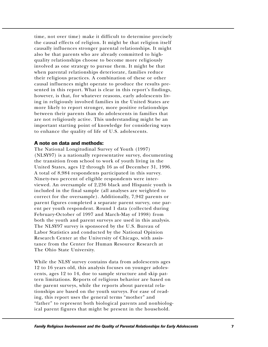time, not over time) make it difficult to determine precisely the causal effects of religion. It might be that religion itself causally influences stronger parental relationships. It might also be that parents who are already committed to highquality relationships choose to become more religiously involved as one strategy to pursue them. It might be that when parental relationships deteriorate, families reduce their religious practices. A combination of these or other causal influences might operate to produce the results presented in this report. What is clear in this report's findings, however, is that, for whatever reasons, early adolescents living in religiously involved families in the United States are more likely to report stronger, more positive relationships between their parents than do adolescents in families that are not religiously active. This understanding might be an important starting point of knowledge for considering ways to enhance the quality of life of U.S. adolescents.

#### **A note on data and methods:**

The National Longitudinal Survey of Youth (1997) (NLSY97) is a nationally representative survey, documenting the transition from school to work of youth living in the United States, ages 12 through 16 as of December 31, 1996. A total of 8,984 respondents participated in this survey. Ninety-two percent of eligible respondents were interviewed. An oversample of 2,236 black and Hispanic youth is included in the final sample (all analyses are weighted to correct for the oversample). Additionally, 7,942 parents or parent figures completed a separate parent survey, one parent per youth respondent. Round 1 data (collected during February-October of 1997 and March-May of 1998) from both the youth and parent surveys are used in this analysis. The NLSY97 survey is sponsored by the U.S. Bureau of Labor Statistics and conducted by the National Opinion Research Center at the University of Chicago, with assistance from the Center for Human Resource Research at The Ohio State University.

While the NLSY survey contains data from adolescents ages 12 to 16 years old, this analysis focuses on younger adolescents, ages 12 to 14, due to sample structure and skip pattern limitations. Reports of religious behavior are based on the parent surveys, while the reports about parental relationships are based on the youth surveys. For ease of reading, this report uses the general terms "mother" and "father" to represent both biological parents and nonbiological parent figures that might be present in the household.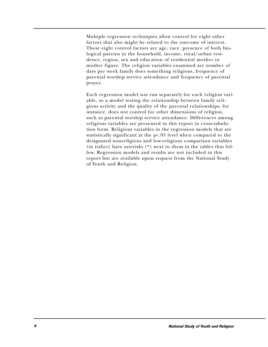Multiple regression techniques allow control for eight other factors that also might be related to the outcome of interest. These eight control factors are age, race, presence of both biological parents in the household, income, rural/urban residence, region, sex and education of residential mother or mother figure. The religion variables examined are number of days per week family does something religious, frequency of parental worship service attendance and frequency of parental prayer.

Each regression model was run separately for each religion variable, so a model testing the relationship between family religious activity and the quality of the parental relationships, for instance, does not control for other dimensions of religion, such as parental worship service attendance. Differences among religious variables are presented in this report in cross-tabulation form. Religious variables in the regression models that are statistically significant at the p<.05 level when compared to the designated nonreligious and low-religious comparison variables (in italics) have asterisks (\*) next to them in the tables that follow. Regression models and results are not included in this report but are available upon request from the National Study of Youth and Religion.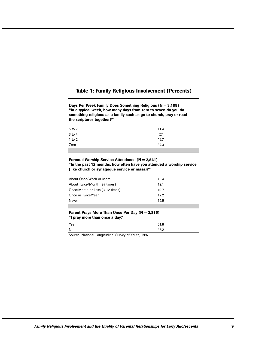### **Table 1: Family Religious Involvement (Percents)**

**Days Per Week Family Does Something Religious (N = 3,189) "In a typical week, how many days from zero to seven do you do something religious as a family such as go to church, pray or read the scriptures together?"**

| 5 to 7 | 11.4 |
|--------|------|
| 3 to 4 | 7.7  |
| 1 to 2 | 46.7 |
| Zero   | 34.3 |
|        |      |

#### **Parental Worship Service Attendance (N = 2,841) "In the past 12 months, how often have you attended a worship service (like church or synagogue service or mass)?"**

| About Once/Week or More<br>40.4         |  |
|-----------------------------------------|--|
| About Twice/Month (24 times)<br>12.1    |  |
| Once/Month or Less (3-12 times)<br>19.7 |  |
| Once or Twice/Year<br>12.2              |  |
| <b>Never</b><br>15.5                    |  |

#### **Parent Prays More Than Once Per Day (N = 2,815) "I pray more than once a day."**

| Yes | 51.8 |  |
|-----|------|--|
| No  | 48.2 |  |

Source: National Longitudinal Survey of Youth, 1997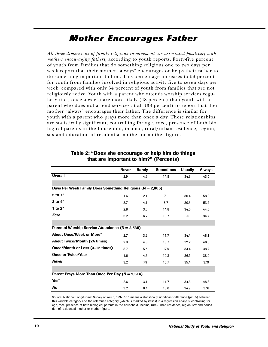### *Mother Encourages Father*

*All three dimensions of family religious involvement are associated positively with mothers encouraging fathers,* according to youth reports. Forty-five percent of youth from families that do something religious one to two days per week report that their mother "always" encourages or helps their father to do something important to him. This percentage increases to 59 percent for youth from families involved in religious activity five to seven days per week, compared with only 34 percent of youth from families that are not religiously active. Youth with a parent who attends worship services regularly (i.e., once a week) are more likely (48 percent) than youth with a parent who does not attend services at all (38 percent) to report that their mother "always" encourages their father. The difference is similar for youth with a parent who prays more than once a day. These relationships are statistically significant, controlling for age, race, presence of both biological parents in the household, income, rural/urban residence, region, sex and education of residential mother or mother figure.

|                                                               | <b>Never</b> | <b>Rarely</b> | <b>Sometimes</b> | <b>Usually</b> | <b>Always</b> |  |  |  |
|---------------------------------------------------------------|--------------|---------------|------------------|----------------|---------------|--|--|--|
| <b>Overall</b>                                                | 2.9          | 4.6           | 14.8             | 34.3           | 43.5          |  |  |  |
|                                                               |              |               |                  |                |               |  |  |  |
| Days Per Week Family Does Something Religious ( $N = 2,805$ ) |              |               |                  |                |               |  |  |  |
| 5 to 7*                                                       | 1.6          | 2.1           | 7.1              | 30.4           | 58.8          |  |  |  |
| $3$ to $4^*$                                                  | 3.7          | 4.1           | 8.7              | 30.3           | 53.2          |  |  |  |
| 1 to $2^*$                                                    | 2.8          | 3.8           | 14.8             | 34.0           | 44.6          |  |  |  |
| Zero                                                          | 3.2          | 6.7           | 18.7             | 37.0           | 34.4          |  |  |  |
|                                                               |              |               |                  |                |               |  |  |  |
| Parental Worship Service Attendance (N = 2,535)               |              |               |                  |                |               |  |  |  |
| <b>About Once/Week or More*</b>                               | 2.7          | 3.2           | 11.7             | 34.4           | 48.1          |  |  |  |
| <b>About Twice/Month (24 times)</b>                           | 2.9          | 4.3           | 13.7             | 32.2           | 46.8          |  |  |  |
| Once/Month or Less (3-12 times)                               | 3.7          | 5.5           | 17.8             | 34.4           | 38.7          |  |  |  |
| <b>Once or Twice/Year</b>                                     | 1.6          | 4.6           | 19.3             | 36.5           | 38.0          |  |  |  |
| <b>Never</b>                                                  | 3.2          | 7.9           | 15.7             | 35.4           | 37.9          |  |  |  |
|                                                               |              |               |                  |                |               |  |  |  |
| Parent Prays More Than Once Per Day (N = 2,514)               |              |               |                  |                |               |  |  |  |
| Yes*                                                          | 2.6          | 3.1           | 11.7             | 34.3           | 48.3          |  |  |  |
| No                                                            | 3.2          | 6.4           | 18.0             | 34.9           | 37.6          |  |  |  |

#### **Table 2: "Does she encourage or help him do things that are important to him?" (Percents)**

Source: National Longitudinal Survey of Youth, 1997. An \* means a statistically significant difference (p<05) between this variable category and the reference category (which is marked by italics) in a regression analysis, controlling for age, race, presence of both biological parents in the household, income, rural/urban residence, region, sex and education of residential mother or mother figure.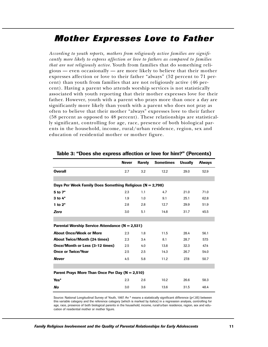### *Mother Expresses Love to Father*

*According to youth reports, mothers from religiously active families are significantly more likely to express affection or love to fathers as compared to families that are not religiously active.* Youth from families that do something religious — even occasionally — are more likely to believe that their mother expresses affection or love to their father "always" (52 percent to 71 percent) than youth from families that are not religiously active (46 percent). Having a parent who attends worship services is not statistically associated with youth reporting that their mother expresses love for their father. However, youth with a parent who prays more than once a day are significantly more likely than youth with a parent who does not pray as often to believe that their mother "always" expresses love to their father (58 percent as opposed to 48 percent). These relationships are statistically significant, controlling for age, race, presence of both biological parents in the household, income, rural/urban residence, region, sex and education of residential mother or mother figure.

|                                                           | <b>Never</b> | <b>Rarely</b> | <b>Sometimes</b> | <b>Usually</b> | <b>Always</b> |  |  |
|-----------------------------------------------------------|--------------|---------------|------------------|----------------|---------------|--|--|
| <b>Overall</b>                                            | 2.7          | 3.2           | 12.2             | 29.0           | 52.9          |  |  |
|                                                           |              |               |                  |                |               |  |  |
| Days Per Week Family Does Something Religious (N = 2,798) |              |               |                  |                |               |  |  |
| 5 to 7*                                                   | 2.3          | 1.1           | 4.7              | 21.0           | 71.0          |  |  |
| $3$ to $4^*$                                              | 1.9          | 1.0           | 9.1              | 25.1           | 62.8          |  |  |
| 1 to $2^*$                                                | 2.8          | 2.8           | 12.7             | 29.9           | 51.9          |  |  |
| Zero                                                      | 3.0          | 5.1           | 14.8             | 31.7           | 45.5          |  |  |
|                                                           |              |               |                  |                |               |  |  |
| Parental Worship Service Attendance (N = 2,531)           |              |               |                  |                |               |  |  |
| <b>About Once/Week or More</b>                            | 2.3          | 1.8           | 11.5             | 28.4           | 56.1          |  |  |
| <b>About Twice/Month (24 times)</b>                       | 2.3          | 3.4           | 8.1              | 28.7           | 57.5          |  |  |
| Once/Month or Less (3-12 times)                           | 2.5          | 4.0           | 13.8             | 32.3           | 47.4          |  |  |
| <b>Once or Twice/Year</b>                                 | 2.5          | 2.5           | 14.3             | 26.7           | 54.0          |  |  |
| <b>Never</b>                                              | 4.5          | 5.8           | 11.2             | 27.8           | 50.7          |  |  |
|                                                           |              |               |                  |                |               |  |  |
| Parent Prays More Than Once Per Day (N = 2,510)           |              |               |                  |                |               |  |  |
| Yes*                                                      | 2.3          | 2.6           | 10.2             | 26.6           | 58.3          |  |  |
| No                                                        | 3.0          | 3.6           | 13.6             | 31.5           | 48.4          |  |  |

#### **Table 3: "Does she express affection or love for him?" (Percents)**

Source: National Longitudinal Survey of Youth, 1997. An \* means a statistically significant difference (p<05) between this variable category and the reference category (which is marked by italics) in a regression analysis, controlling for age, race, presence of both biological parents in the household, income, rural/urban residence, region, sex and education of residential mother or mother figure.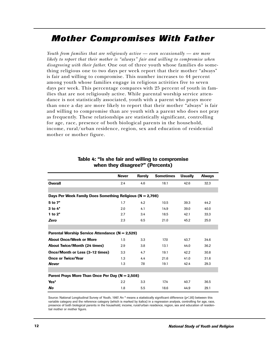### *Mother Compromises With Father*

*Youth from families that are religiously active — even occasionally — are more likely to report that their mother is "always" fair and willing to compromise when disagreeing with their father.* One out of three youth whose families do something religious one to two days per week report that their mother "always" is fair and willing to compromise. This number increases to 44 percent among youth whose families engage in religious activities five to seven days per week. This percentage compares with 25 percent of youth in families that are not religiously active. While parental worship service attendance is not statistically associated, youth with a parent who prays more than once a day are more likely to report that their mother "always" is fair and willing to compromise than are youth with a parent who does not pray as frequently. These relationships are statistically significant, controlling for age, race, presence of both biological parents in the household, income, rural/urban residence, region, sex and education of residential mother or mother figure.

|                                                               | <b>Never</b> | <b>Rarely</b> | <b>Sometimes</b> | <b>Usually</b> | <b>Always</b> |  |  |
|---------------------------------------------------------------|--------------|---------------|------------------|----------------|---------------|--|--|
| <b>Overall</b>                                                | 2.4          | 4.6           | 18.1             | 42.6           | 32.3          |  |  |
|                                                               |              |               |                  |                |               |  |  |
| Days Per Week Family Does Something Religious ( $N = 2,798$ ) |              |               |                  |                |               |  |  |
| $5$ to $7^*$                                                  | 1.7          | 4.2           | 10.5             | 39.3           | 44.2          |  |  |
| $3$ to $4^*$                                                  | 2.0          | 4.1           | 14.9             | 39.0           | 40.0          |  |  |
| 1 to $2^*$                                                    | 2.7          | 3.4           | 18.5             | 42.1           | 33.3          |  |  |
| <b>Zero</b>                                                   | 2.3          | 6.5           | 21.0             | 45.2           | 25.0          |  |  |
|                                                               |              |               |                  |                |               |  |  |
| Parental Worship Service Attendance (N = 2,529)               |              |               |                  |                |               |  |  |
| <b>About Once/Week or More</b>                                | 1.5          | 3.3           | 17.0             | 43.7           | 34.6          |  |  |
| <b>About Twice/Month (24 times)</b>                           | 2.9          | 3.8           | 13.1             | 44.0           | 36.2          |  |  |
| Once/Month or Less (3-12 times)                               | 3.3          | 4.7           | 19.1             | 42.2           | 30.8          |  |  |
| <b>Once or Twice/Year</b>                                     | 1.3          | 4.4           | 21.6             | 41.0           | 31.6          |  |  |
| <b>Never</b>                                                  | 1.3          | 7.8           | 19.1             | 42.4           | 29.3          |  |  |
|                                                               |              |               |                  |                |               |  |  |
| Parent Prays More Than Once Per Day (N = 2,508)               |              |               |                  |                |               |  |  |
| Yes*                                                          | 2.2          | 3.3           | 17.4             | 40.7           | 36.5          |  |  |
| No                                                            | 1.8          | 5.5           | 18.6             | 44.9           | 29.1          |  |  |

#### **Table 4: "Is she fair and willing to compromise when they disagree?" (Percents)**

Source: National Longitudinal Survey of Youth, 1997. An \* means a statistically significant difference (p<.05) between this variable category and the reference category (which is marked by italics) in a regression analysis, controlling for age, race, presence of both biological parents in the household, income, rural/urban residence, region, sex and education of residential mother or mother figure.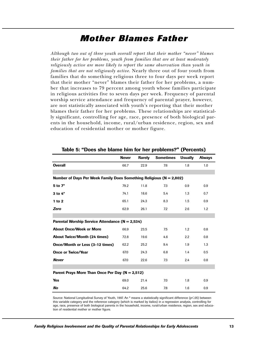### *Mother Blames Father*

*Although two out of three youth overall report that their mother "never" blames their father for her problems, youth from families that are at least moderately religiously active are more likely to report the same observation than youth in families that are not religiously active.* Nearly three out of four youth from families that do something religious three to four days per week report that their mother "never" blames their father for her problems, a number that increases to 79 percent among youth whose families participate in religious activities five to seven days per week. Frequency of parental worship service attendance and frequency of parental prayer, however, are not statistically associated with youth's reporting that their mother blames their father for her problems. These relationships are statistically significant, controlling for age, race, presence of both biological parents in the household, income, rural/urban residence, region, sex and education of residential mother or mother figure.

|                                                                         | <b>Never</b> | <b>Rarely</b> | <b>Sometimes</b> | <b>Usually</b>   | <b>Always</b> |  |  |
|-------------------------------------------------------------------------|--------------|---------------|------------------|------------------|---------------|--|--|
| <b>Overall</b>                                                          | 66.7         | 22.9          | 7.6              | 1.8              | 1.0           |  |  |
|                                                                         |              |               |                  |                  |               |  |  |
| Number of Days Per Week Family Does Something Religious ( $N = 2,802$ ) |              |               |                  |                  |               |  |  |
| 5 to 7*                                                                 | 79.2         | 11.8          | 7.3              | 0.9              | 0.9           |  |  |
| $3$ to $4^*$                                                            | 74.1         | 18.6          | 5.4              | 1.3              | 0.7           |  |  |
| 1 to 2                                                                  | 65.1         | 24.3          | 8.3              | 1.5              | 0.9           |  |  |
| Zero                                                                    | 62.9         | 26.1          | 7.2              | 2.6              | 1.2           |  |  |
|                                                                         |              |               |                  |                  |               |  |  |
| Parental Worship Service Attendance (N = 2,534)                         |              |               |                  |                  |               |  |  |
| <b>About Once/Week or More</b>                                          | 66.9         | 23.5          | 7.5              | 1.2              | 0.8           |  |  |
| <b>About Twice/Month (24 times)</b>                                     | 72.8         | 19.6          | 4.6              | $2.2\phantom{0}$ | 0.8           |  |  |
| Once/Month or Less (3-12 times)                                         | 62.2         | 25.2          | 9.4              | 1.9              | 1.3           |  |  |
| <b>Once or Twice/Year</b>                                               | 67.0         | 24.3          | 6.8              | 1.4              | 0.5           |  |  |
| <b>Never</b>                                                            | 67.0         | 22.6          | 7.3              | 2.4              | 0.8           |  |  |
|                                                                         |              |               |                  |                  |               |  |  |
| Parent Prays More Than Once Per Day (N = 2,512)                         |              |               |                  |                  |               |  |  |
| <b>Yes</b>                                                              | 69.0         | 21.4          | 7.0              | 1.8              | 0.9           |  |  |
| No                                                                      | 64.2         | 25.6          | 7.8              | 1.6              | 0.9           |  |  |

**Table 5: "Does she blame him for her problems?" (Percents)**

Source: National Longitudinal Survey of Youth, 1997. An \* means a statistically significant difference (p<05) between this variable category and the reference category (which is marked by italics) in a regression analysis, controlling for age, race, presence of both biological parents in the household, income, rural/urban residence, region, sex and education of residential mother or mother figure.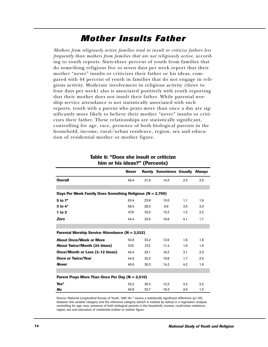### *Mother Insults Father*

*Mothers from religiously active families tend to insult or criticize fathers less frequently than mothers from families that are not religiously active,* according to youth reports. Sixty-three percent of youth from families that do something religious five to seven days per week report that their mother "never" insults or criticizes their father or his ideas, compared with 44 percent of youth in families that do not engage in religious activity. Moderate involvement in religious activity (three to four days per week) also is associated positively with youth reporting that their mother does not insult their father. While parental worship service attendance is not statistically associated with such reports, youth with a parent who prays more than once a day are significantly more likely to believe their mother "never" insults or criticizes their father. These relationships are statistically significant, controlling for age, race, presence of both biological parents in the household, income, rural/urban residence, region, sex and education of residential mother or mother figure.

|                                                               | <b>Never</b> |      | <b>Rarely Sometimes Usually Always</b> |     |     |
|---------------------------------------------------------------|--------------|------|----------------------------------------|-----|-----|
| <b>Overall</b>                                                | 49.4         | 31.6 | 14.5                                   | 2.5 | 2.0 |
|                                                               |              |      |                                        |     |     |
| Days Per Week Family Does Something Religious ( $N = 2,799$ ) |              |      |                                        |     |     |
| $5$ to $7^*$                                                  | 63.4         | 23.9 | 10.0                                   | 1.1 | 1.6 |
| $3$ to $4^*$                                                  | 58.4         | 28.3 | 6.6                                    | 3.5 | 3.3 |
| $1$ to $2$                                                    | 47.9         | 33.2 | 15.2                                   | 1.5 | 2.2 |
| Zero                                                          | 44.4         | 33.0 | 16.8                                   | 4.1 | 1.7 |
|                                                               |              |      |                                        |     |     |
| Parental Worship Service Attendance ( $N = 2,532$ )           |              |      |                                        |     |     |
| <b>About Once/Week or More</b>                                | 50.8         | 33.2 | 12.6                                   | 1.8 | 1.6 |
| <b>About Twice/Month (24 times)</b>                           | 57.6         | 27.2 | 11.4                                   | 1.9 | 1.9 |
| Once/Month or Less (3-12 times)                               | 45.4         | 33.1 | 16.2                                   | 3.1 | 2.3 |
| <b>Once or Twice/Year</b>                                     | 44.0         | 32.5 | 19.8                                   | 1.7 | 2.0 |
| <b>Never</b>                                                  | 49.6         | 30.3 | 14.2                                   | 4.2 | 1.8 |
|                                                               |              |      |                                        |     |     |
| Parent Prays More Than Once Per Day $(N = 2,510)$             |              |      |                                        |     |     |
| Yes*                                                          | 53.2         | 30.3 | 12.2                                   | 2.2 | 2.2 |
| No                                                            | 45.8         | 33.7 | 16.3                                   | 2.6 | 1.5 |

#### **Table 6: "Does she insult or criticize him or his ideas?" (Percents)**

Source: National Longitudinal Survey of Youth, 1997. An \* means a statistically significant difference (p<.05) between this variable category and the reference category (which is marked by italics) in a regression analysis, controlling for age, race, presence of both biological parents in the household, income, rural/urban residence, region, sex and education of residential mother or mother figure.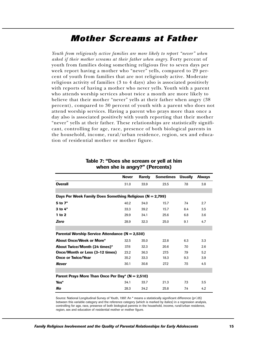### *Mother Screams at Father*

*Youth from religiously active families are more likely to report "never" when asked if their mother screams at their father when angry.* Forty percent of youth from families doing something religious five to seven days per week report having a mother who "never" yells, compared to 29 percent of youth from families that are not religiously active. Moderate religious activity of families (3 to 4 days) also is associated positively with reports of having a mother who never yells. Youth with a parent who attends worship services about twice a month are more likely to believe that their mother "never" yells at their father when angry (38 percent), compared to 30 percent of youth with a parent who does not attend worship services. Having a parent who prays more than once a day also is associated positively with youth reporting that their mother "never" yells at their father. These relationships are statistically significant, controlling for age, race, presence of both biological parents in the household, income, rural/urban residence, region, sex and education of residential mother or mother figure.

|                                                           | <b>Never</b> | <b>Rarely</b> | <b>Sometimes</b> | Usually | <b>Always</b> |  |  |
|-----------------------------------------------------------|--------------|---------------|------------------|---------|---------------|--|--|
| <b>Overall</b>                                            | 31.0         | 33.9          | 23.5             | 7.8     | 3.8           |  |  |
|                                                           |              |               |                  |         |               |  |  |
| Days Per Week Family Does Something Religious (N = 2,799) |              |               |                  |         |               |  |  |
| 5 to 7*                                                   | 40.2         | 34.0          | 15.7             | 7.4     | 2.7           |  |  |
| $3$ to $4^*$                                              | 33.3         | 39.2          | 15.7             | 8.4     | 3.5           |  |  |
| $1$ to $2$                                                | 29.9         | 34.1          | 25.6             | 6.8     | 3.6           |  |  |
| Zero                                                      | 28.9         | 32.3          | 25.0             | 9.1     | 4.7           |  |  |
|                                                           |              |               |                  |         |               |  |  |
| Parental Worship Service Attendance $(N = 2,530)$         |              |               |                  |         |               |  |  |
| <b>About Once/Week or More*</b>                           | 32.5         | 35.0          | 22.8             | 6.3     | 3.3           |  |  |
| About Twice/Month (24 times)*                             | 37.6         | 32.3          | 20.6             | 7.0     | 2.6           |  |  |
| Once/Month or Less (3-12 times)                           | 23.2         | 36.3          | 27.5             | 7.9     | 5.2           |  |  |
| <b>Once or Twice/Year</b>                                 | 35.2         | 33.3          | 18.3             | 9.3     | 3.9           |  |  |
| <b>Never</b>                                              | 30.1         | 30.8          | 27.2             | 7.5     | 4.5           |  |  |
|                                                           |              |               |                  |         |               |  |  |
| Parent Prays More Than Once Per Day* $(N = 2,510)$        |              |               |                  |         |               |  |  |
| Yes*                                                      | 34.1         | 33.7          | 21.3             | 7.3     | 3.5           |  |  |
| No                                                        | 28.3         | 34.2          | 25.8             | 7.4     | 4.2           |  |  |

#### **Table 7: "Does she scream or yell at him when she is angry?" (Percents)**

Source: National Longitudinal Survey of Youth, 1997. An \* means a statistically significant difference (p<.05) between this variable category and the reference category (which is marked by italics) in a regression analysis, controlling for age, race, presence of both biological parents in the household, income, rural/urban residence, region, sex and education of residential mother or mother figure.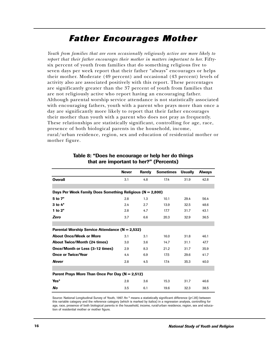### *Father Encourages Mother*

*Youth from families that are even occasionally religiously active are more likely to report that their father encourages their mother in matters important to her.* Fiftysix percent of youth from families that do something religious five to seven days per week report that their father "always" encourages or helps their mother. Moderate (49 percent) and occasional (43 percent) levels of activity also are associated positively with this report. These percentages are significantly greater than the 37 percent of youth from families that are not religiously active who report having an encouraging father. Although parental worship service attendance is not statistically associated with encouraging fathers, youth with a parent who prays more than once a day are significantly more likely to report that their father encourages their mother than youth with a parent who does not pray as frequently. These relationships are statistically significant, controlling for age, race, presence of both biological parents in the household, income, rural/urban residence, region, sex and education of residential mother or mother figure.

|                                                               | <b>Never</b> | <b>Rarely</b> | <b>Sometimes</b> | <b>Usually</b> | <b>Always</b> |  |
|---------------------------------------------------------------|--------------|---------------|------------------|----------------|---------------|--|
| <b>Overall</b>                                                | 3.1          | 4.8           | 17.4             | 31.9           | 42.8          |  |
|                                                               |              |               |                  |                |               |  |
| Days Per Week Family Does Something Religious ( $N = 2,800$ ) |              |               |                  |                |               |  |
| 5 to 7*                                                       | 2.8          | 1.3           | 10.1             | 29.4           | 56.4          |  |
| $3$ to $4^*$                                                  | 2.4          | 2.7           | 13.9             | 32.5           | 48.6          |  |
| 1 to $2^*$                                                    | 2.8          | 4.7           | 17.7             | 31.7           | 43.1          |  |
| Zero                                                          | 3.7          | 6.6           | 20.3             | 32.9           | 36.5          |  |
|                                                               |              |               |                  |                |               |  |
| Parental Worship Service Attendance ( $N = 2,532$ )           |              |               |                  |                |               |  |
| <b>About Once/Week or More</b>                                | 3.1          | 3.1           | 16.0             | 31.8           | 46.1          |  |
| <b>About Twice/Month (24 times)</b>                           | 3.0          | 3.6           | 14.7             | 31.1           | 47.7          |  |
| Once/Month or Less (3-12 times)                               | 2.9          | 8.3           | 21.2             | 31.7           | 35.9          |  |
| <b>Once or Twice/Year</b>                                     | 4.4          | 6.9           | 17.5             | 29.6           | 41.7          |  |
| <b>Never</b>                                                  | 2.8          | 4.5           | 17.4             | 35.3           | 40.0          |  |
|                                                               |              |               |                  |                |               |  |
| Parent Prays More Than Once Per Day (N = 2,512)               |              |               |                  |                |               |  |
| Yes*                                                          | 2.8          | 3.6           | 15.3             | 31.7           | 46.6          |  |
| No                                                            | 3.5          | 6.1           | 19.6             | 32.3           | 38.5          |  |

#### **Table 8: "Does he encourage or help her do things that are important to her?" (Percents)**

Source: National Longitudinal Survey of Youth, 1997. An \* means a statistically significant difference (p<05) between this variable category and the reference category (which is marked by italics) in a regression analysis, controlling for age, race, presence of both biological parents in the household, income, rural/urban residence, region, sex and education of residential mother or mother figure.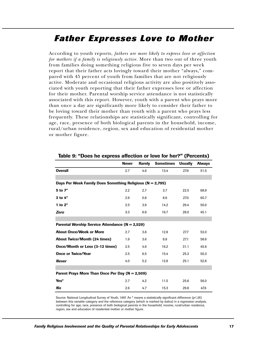### *Father Expresses Love to Mother*

According to youth reports, *fathers are more likely to express love or affection for mothers if a family is religiously active.* More than two out of three youth from families doing something religious five to seven days per week report that their father acts lovingly toward their mother "always," compared with 45 percent of youth from families that are not religiously active. Moderate and occasional religious activity are also positively associated with youth reporting that their father expresses love or affection for their mother. Parental worship service attendance is not statistically associated with this report. However, youth with a parent who prays more than once a day are significantly more likely to consider their father to be loving toward their mother than youth with a parent who prays less frequently. These relationships are statistically significant, controlling for age, race, presence of both biological parents in the household, income, rural/urban residence, region, sex and education of residential mother or mother figure.

|                                                               | <b>Never</b> | <b>Rarely</b> | <b>Sometimes</b> | <b>Usually</b> | <b>Always</b> |
|---------------------------------------------------------------|--------------|---------------|------------------|----------------|---------------|
| <b>Overall</b>                                                | 2.7          | 4.6           | 13.4             | 27.9           | 51.5          |
|                                                               |              |               |                  |                |               |
| Days Per Week Family Does Something Religious ( $N = 2,795$ ) |              |               |                  |                |               |
| $5$ to $7^*$                                                  | 2.2          | 2.7           | 3.7              | 22.5           | 68.9          |
| $3$ to $4^*$                                                  | 2.9          | 0.8           | 8.6              | 27.0           | 60.7          |
| 1 to $2^*$                                                    | 2.5          | 3.9           | 14.2             | 29.4           | 50.0          |
| Zero                                                          | 3.3          | 6.9           | 16.7             | 28.0           | 45.1          |
|                                                               |              |               |                  |                |               |
| Parental Worship Service Attendance (N = 2,529)               |              |               |                  |                |               |
| <b>About Once/Week or More</b>                                | 2.7          | 3.8           | 12.8             | 27.7           | 53.0          |
| <b>About Twice/Month (24 times)</b>                           | 1.9          | 3.6           | 8.8              | 27.1           | 58.6          |
| Once/Month or Less (3-12 times)                               | 2.5          | 4.6           | 16.2             | 31.1           | 45.6          |
| <b>Once or Twice/Year</b>                                     | 2.5          | 6.5           | 15.4             | 25.3           | 50.3          |
| <b>Never</b>                                                  | 4.0          | 5.2           | 12.8             | 25.1           | 52.8          |
|                                                               |              |               |                  |                |               |
| Parent Prays More Than Once Per Day (N = 2,509)               |              |               |                  |                |               |
| Yes*                                                          | 2.7          | 4.2           | 11.5             | 25.6           | 56.0          |
| No                                                            | 2.6          | 4.7           | 15.3             | 29.8           | 47.6          |

**Table 9: "Does he express affection or love for her?" (Percents)**

Source: National Longitudinal Survey of Youth, 1997. An \* means a statistically significant difference (p<05) between this variable category and the reference category (which is marked by italics) in a regression analysis, controlling for age, race, presence of both biological parents in the household, income, rural/urban residence, region, sex and education of residential mother or mother figure.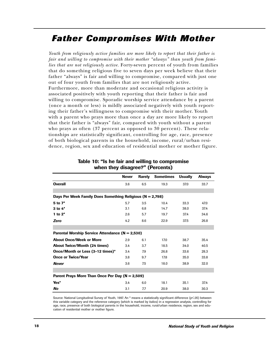### *Father Compromises With Mother*

*Youth from religiously active families are more likely to report that their father is fair and willing to compromise with their mother "always" than youth from families that are not religiously active.* Forty-seven percent of youth from families that do something religious five to seven days per week believe that their father "always" is fair and willing to compromise, compared with just one out of four youth from families that are not religiously active. Furthermore, more than moderate and occasional religious activity is associated positively with youth reporting that their father is fair and willing to compromise. Sporadic worship service attendance by a parent (once a month or less) is mildly associated negatively with youth reporting their father's willingness to compromise with their mother. Youth with a parent who prays more than once a day are more likely to report that their father is "always" fair, compared with youth without a parent who prays as often (37 percent as opposed to 30 percent). These relationships are statistically significant, controlling for age, race, presence of both biological parents in the household, income, rural/urban residence, region, sex and education of residential mother or mother figure.

|                                                               | <b>Never</b> | <b>Rarely</b> | <b>Sometimes</b> | <b>Usually</b> | <b>Always</b> |  |  |
|---------------------------------------------------------------|--------------|---------------|------------------|----------------|---------------|--|--|
| <b>Overall</b>                                                | 3.6          | 6.5           | 19.3             | 37.0           | 33.7          |  |  |
|                                                               |              |               |                  |                |               |  |  |
| Days Per Week Family Does Something Religious ( $N = 2,798$ ) |              |               |                  |                |               |  |  |
| 5 to 7*                                                       | 5.7          | 3.5           | 10.4             | 33.3           | 47.0          |  |  |
| $3$ to $4^*$                                                  | 3.1          | 6.8           | 14.7             | 38.0           | 37.4          |  |  |
| 1 to $2^*$                                                    | 2.6          | 5.7           | 19.7             | 37.4           | 34.6          |  |  |
| Zero                                                          | 4.2          | 8.6           | 22.9             | 37.5           | 26.8          |  |  |
|                                                               |              |               |                  |                |               |  |  |
| Parental Worship Service Attendance $(N = 2,530)$             |              |               |                  |                |               |  |  |
| <b>About Once/Week or More</b>                                | 2.9          | 6.1           | 17.0             | 38.7           | 35.4          |  |  |
| <b>About Twice/Month (24 times)</b>                           | 3.4          | 3.7           | 18.5             | 34.0           | 40.5          |  |  |
| Once/Month or Less (3-12 times)*                              | 3.4          | 7.9           | 26.8             | 33.6           | 28.3          |  |  |
| <b>Once or Twice/Year</b>                                     | 3.8          | 9.7           | 17.8             | 35.0           | 33.8          |  |  |
| <b>Never</b>                                                  | 3.6          | 7.5           | 18.0             | 38.9           | 32.0          |  |  |
|                                                               |              |               |                  |                |               |  |  |
| Parent Prays More Than Once Per Day $(N = 2,509)$             |              |               |                  |                |               |  |  |
| Yes*                                                          | 3.4          | 6.0           | 18.1             | 35.1           | 37.4          |  |  |
| No                                                            | 3.1          | 7.7           | 20.9             | 38.0           | 30.3          |  |  |

#### **Table 10: "Is he fair and willing to compromise when they disagree?" (Percents)**

Source: National Longitudinal Survey of Youth, 1997. An \* means a statistically significant difference (p<05) between this variable category and the reference category (which is marked by italics) in a regression analysis, controlling for age, race, presence of both biological parents in the household, income, rural/urban residence, region, sex and education of residential mother or mother figure.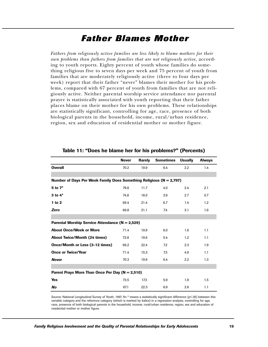### *Father Blames Mother*

*Fathers from religiously active families are less likely to blame mothers for their own problems than fathers from families that are not religiously active,* according to youth reports. Eighty percent of youth whose families do something religious five to seven days per week and 75 percent of youth from families that are moderately religiously active (three to four days per week) report that their father "never" blames their mother for his problems, compared with 67 percent of youth from families that are not religiously active. Neither parental worship service attendance nor parental prayer is statistically associated with youth reporting that their father places blame on their mother for his own problems. These relationships are statistically significant, controlling for age, race, presence of both biological parents in the household, income, rural/urban residence, region, sex and education of residential mother or mother figure.

|                                                                     | <b>Never</b> | <b>Rarely</b> | <b>Sometimes</b> | <b>Usually</b> | <b>Always</b> |  |  |
|---------------------------------------------------------------------|--------------|---------------|------------------|----------------|---------------|--|--|
| <b>Overall</b>                                                      | 70.2         | 19.9          | 6.4              | 2.2            | 1.4           |  |  |
|                                                                     |              |               |                  |                |               |  |  |
| Number of Days Per Week Family Does Something Religious (N = 2,797) |              |               |                  |                |               |  |  |
| 5 to 7*                                                             | 79.8         | 11.7          | 4.0              | 2.4            | 2.1           |  |  |
| $3$ to $4*$                                                         | 74.8         | 18.0          | 3.9              | 2.7            | 0.7           |  |  |
| 1 to 2                                                              | 69.4         | 21.4          | 6.7              | 1.4            | 1.2           |  |  |
| Zero                                                                | 66.8         | 21.1          | 7.4              | 3.1            | 1.6           |  |  |
|                                                                     |              |               |                  |                |               |  |  |
| Parental Worship Service Attendance (N = 2,529)                     |              |               |                  |                |               |  |  |
| <b>About Once/Week or More</b>                                      | 71.4         | 19.9          | 6.0              | 1.6            | 1.1           |  |  |
| <b>About Twice/Month (24 times)</b>                                 | 72.8         | 19.6          | 5.4              | 1.2            | 1.1           |  |  |
| Once/Month or Less (3-12 times)                                     | 66.2         | 22.4          | 7.2              | 2.3            | 1.9           |  |  |
| <b>Once or Twice/Year</b>                                           | 71.4         | 15.3          | 7.3              | 4.9            | 1.1           |  |  |
| <b>Never</b>                                                        | 70.3         | 19.9          | 6.4              | 2.2            | 1.3           |  |  |
|                                                                     |              |               |                  |                |               |  |  |
| Parent Prays More Than Once Per Day (N = 2,510)                     |              |               |                  |                |               |  |  |
| <b>Yes</b>                                                          | 73.5         | 17.3          | 5.9              | 1.9            | 1.5           |  |  |
| No                                                                  | 67.1         | 22.3          | 6.9              | 2.6            | 1.1           |  |  |

#### **Table 11: "Does he blame her for his problems?" (Percents)**

Source: National Longitudinal Survey of Youth, 1997. An \* means a statistically significant difference (p<.05) between this variable category and the reference category (which is marked by italics) in a regression analysis, controlling for age, race, presence of both biological parents in the household, income, rural/urban residence, region, sex and education of residential mother or mother figure.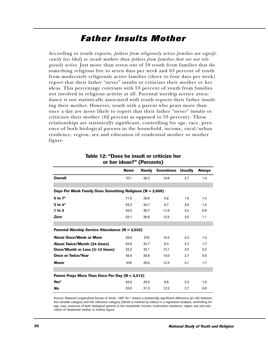### *Father Insults Mother*

According to youth reports, *fathers from religiously active families are significantly less likely to insult mothers than fathers from families that are not religiously active.* Just more than seven out of 10 youth from families that do something religious five to seven days per week and 63 percent of youth from moderately religiously active families (three to four days per week) report that their father "never" insults or criticizes their mother or her ideas. This percentage contrasts with 53 percent of youth from families not involved in religious activity at all. Parental worship service attendance is not statistically associated with youth reports their father insulting their mother. However, youth with a parent who prays more than once a day are more likely to report that their father "never" insults or criticizes their mother (62 percent as opposed to 53 percent). These relationships are statistically significant, controlling for age, race, presence of both biological parents in the household, income, rural/urban residence, region, sex and education of residential mother or mother figure.

|                                                               | <b>Never</b> | <b>Rarely</b> | <b>Sometimes</b> | <b>Usually</b> | <b>Always</b> |  |  |
|---------------------------------------------------------------|--------------|---------------|------------------|----------------|---------------|--|--|
| <b>Overall</b>                                                | 57.1         | 28.3          | 10.8             | 2.7            | 1.0           |  |  |
|                                                               |              |               |                  |                |               |  |  |
| Days Per Week Family Does Something Religious ( $N = 2,800$ ) |              |               |                  |                |               |  |  |
| 5 to 7*                                                       | 71.0         | 20.8          | 5.8              | 1.0            | 1.4           |  |  |
| $3$ to $4^*$                                                  | 63.2         | 24.7          | 6.7              | 3.9            | 1.4           |  |  |
| $1$ to $2$                                                    | 55.5         | 29.7          | 11.6             | 2.4            | 0.8           |  |  |
| Zero                                                          | 53.1         | 29.8          | 12.5             | 3.5            | 1.1           |  |  |
|                                                               |              |               |                  |                |               |  |  |
| Parental Worship Service Attendance (N = 2,532)               |              |               |                  |                |               |  |  |
| <b>About Once/Week or More</b>                                | 58.8         | 27.6          | 10.3             | 2.3            | 1.0           |  |  |
| <b>About Twice/Month (24 times)</b>                           | 62.9         | 24.7          | 8.3              | 2.3            | 1.7           |  |  |
| Once/Month or Less (3-12 times)                               | 52.2         | 32.1          | 13.1             | 2.5            | 0.2           |  |  |
| <b>Once or Twice/Year</b>                                     | 55.6         | 30.9          | 10.0             | 2.7            | 0.8           |  |  |
| <b>Never</b>                                                  | 57.8         | 25.0          | 12.3             | 3.1            | 1.7           |  |  |
|                                                               |              |               |                  |                |               |  |  |
| Parent Prays More Than Once Per Day ( $N = 2,512$ )           |              |               |                  |                |               |  |  |
| Yes*                                                          | 62.0         | 25.0          | 9.8              | 2.3            | 1.0           |  |  |
| No                                                            | 53.0         | 31.3          | 12.2             | 2.7            | 0.8           |  |  |

#### **Table 12: "Does he insult or criticize her or her ideas?" (Percents)**

Source: National Longitudinal Survey of Youth, 1997. An \* means a statistically significant difference (p<.05) between this variable category and the reference category (which is marked by italics) in a regression analysis, controlling for age, race, presence of both biological parents in the household, income, rural/urban residence, region, sex and education of residential mother or mother figure.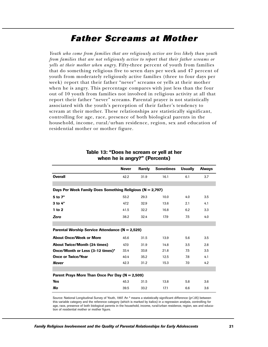### *Father Screams at Mother*

*Youth who come from families that are religiously active are less likely than youth from families that are not religiously active to report that their father screams or yells at their mother when angry.* Fifty-three percent of youth from families that do something religious five to seven days per week and 47 percent of youth from moderately religiously active families (three to four days per week) report that their father "never" screams or yells at their mother when he is angry. This percentage compares with just less than the four out of 10 youth from families not involved in religious activity at all that report their father "never" screams. Parental prayer is not statistically associated with the youth's perception of their father's tendency to scream at their mother. These relationships are statistically significant, controlling for age, race, presence of both biological parents in the household, income, rural/urban residence, region, sex and education of residential mother or mother figure.

|                                                           | <b>Never</b> | <b>Rarely</b> | <b>Sometimes</b> | <b>Usually</b> | <b>Always</b> |  |  |
|-----------------------------------------------------------|--------------|---------------|------------------|----------------|---------------|--|--|
| <b>Overall</b>                                            | 42.2         | 31.9          | 16.1             | 6.1            | 3.7           |  |  |
|                                                           |              |               |                  |                |               |  |  |
| Days Per Week Family Does Something Religious (N = 2,797) |              |               |                  |                |               |  |  |
| $5$ to $7^*$                                              | 53.2         | 29.3          | 10.0             | 4.0            | 3.5           |  |  |
| $3$ to $4^*$                                              | 47.2         | 32.9          | 13.6             | 2.1            | 4.1           |  |  |
| 1 to 2                                                    | 41.5         | 32.2          | 16.8             | 6.2            | 3.3           |  |  |
| Zero                                                      | 38.2         | 32.4          | 17.9             | 7.5            | 4.0           |  |  |
|                                                           |              |               |                  |                |               |  |  |
| Parental Worship Service Attendance $(N = 2,529)$         |              |               |                  |                |               |  |  |
| <b>About Once/Week or More</b>                            | 45.6         | 31.5          | 13.9             | 5.6            | 3.5           |  |  |
| <b>About Twice/Month (24 times)</b>                       | 47.0         | 31.9          | 14.8             | 3.5            | 2.8           |  |  |
| Once/Month or Less (3-12 times)*                          | 33.4         | 33.8          | 21.8             | 7.5            | 3.5           |  |  |
| <b>Once or Twice/Year</b>                                 | 40.4         | 35.2          | 12.5             | 7.8            | 4.1           |  |  |
| <b>Never</b>                                              | 42.3         | 31.2          | 15.3             | 7.0            | 4.2           |  |  |
|                                                           |              |               |                  |                |               |  |  |
| Parent Prays More Than Once Per Day $(N = 2,509)$         |              |               |                  |                |               |  |  |
| Yes                                                       | 45.3         | 31.5          | 13.8             | 5.8            | 3.6           |  |  |
| No                                                        | 39.5         | 33.2          | 17.1             | 6.6            | 3.6           |  |  |

#### **Table 13: "Does he scream or yell at her when he is angry?" (Percents)**

Source: National Longitudinal Survey of Youth, 1997. An \* means a statistically significant difference (p<.05) between this variable category and the reference category (which is marked by italics) in a regression analysis, controlling for age, race, presence of both biological parents in the household, income, rural/urban residence, region, sex and education of residential mother or mother figure.